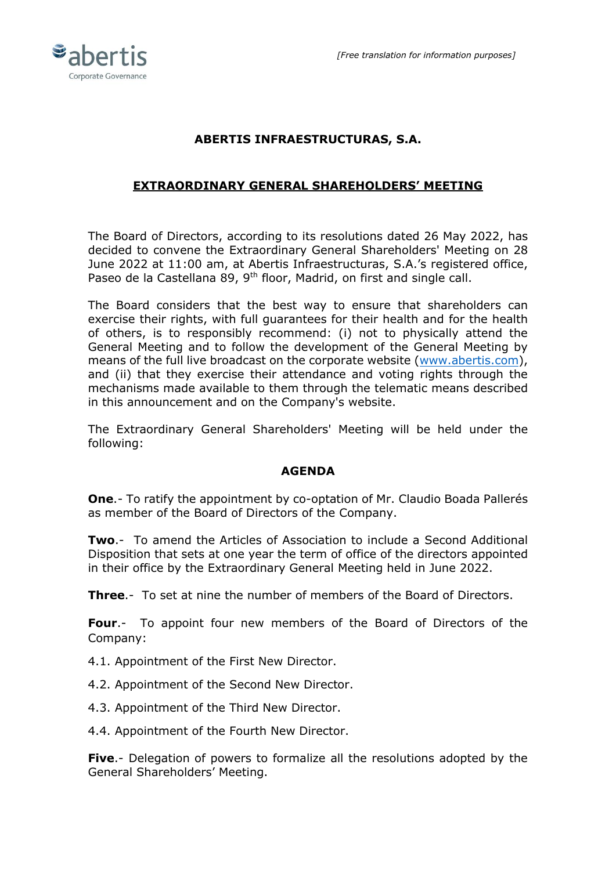

# **ABERTIS INFRAESTRUCTURAS, S.A.**

# **EXTRAORDINARY GENERAL SHAREHOLDERS' MEETING**

The Board of Directors, according to its resolutions dated 26 May 2022, has decided to convene the Extraordinary General Shareholders' Meeting on 28 June 2022 at 11:00 am, at Abertis Infraestructuras, S.A.'s registered office, Paseo de la Castellana 89, 9<sup>th</sup> floor, Madrid, on first and single call.

The Board considers that the best way to ensure that shareholders can exercise their rights, with full guarantees for their health and for the health of others, is to responsibly recommend: (i) not to physically attend the General Meeting and to follow the development of the General Meeting by means of the full live broadcast on the corporate website [\(www.abertis.com\)](http://www.abertis.com/), and (ii) that they exercise their attendance and voting rights through the mechanisms made available to them through the telematic means described in this announcement and on the Company's website.

The Extraordinary General Shareholders' Meeting will be held under the following:

#### **AGENDA**

**One**.- To ratify the appointment by co-optation of Mr. Claudio Boada Pallerés as member of the Board of Directors of the Company.

**Two**.- To amend the Articles of Association to include a Second Additional Disposition that sets at one year the term of office of the directors appointed in their office by the Extraordinary General Meeting held in June 2022.

**Three**.- To set at nine the number of members of the Board of Directors.

**Four**.- To appoint four new members of the Board of Directors of the Company:

- 4.1. Appointment of the First New Director.
- 4.2. Appointment of the Second New Director.
- 4.3. Appointment of the Third New Director.
- 4.4. Appointment of the Fourth New Director.

**Five**.- Delegation of powers to formalize all the resolutions adopted by the General Shareholders' Meeting.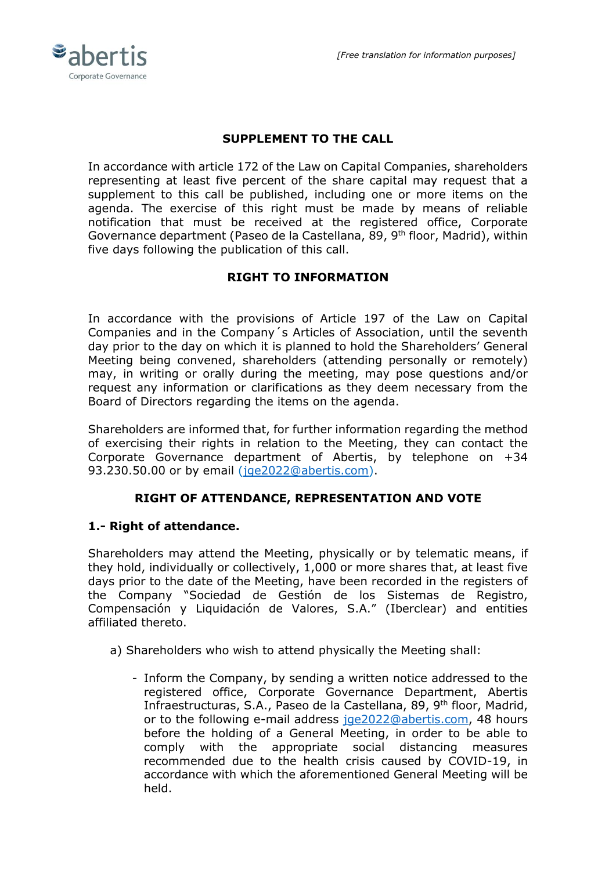

## **SUPPLEMENT TO THE CALL**

In accordance with article 172 of the Law on Capital Companies, shareholders representing at least five percent of the share capital may request that a supplement to this call be published, including one or more items on the agenda. The exercise of this right must be made by means of reliable notification that must be received at the registered office, Corporate Governance department (Paseo de la Castellana, 89, 9<sup>th</sup> floor, Madrid), within five days following the publication of this call.

### **RIGHT TO INFORMATION**

In accordance with the provisions of Article 197 of the Law on Capital Companies and in the Company´s Articles of Association, until the seventh day prior to the day on which it is planned to hold the Shareholders' General Meeting being convened, shareholders (attending personally or remotely) may, in writing or orally during the meeting, may pose questions and/or request any information or clarifications as they deem necessary from the Board of Directors regarding the items on the agenda.

Shareholders are informed that, for further information regarding the method of exercising their rights in relation to the Meeting, they can contact the Corporate Governance department of Abertis, by telephone on +34 93.230.50.00 or by email [\(jge2022@abertis.com\)](mailto:jge2022@abertis.com).

### **RIGHT OF ATTENDANCE, REPRESENTATION AND VOTE**

#### **1.- Right of attendance.**

Shareholders may attend the Meeting, physically or by telematic means, if they hold, individually or collectively, 1,000 or more shares that, at least five days prior to the date of the Meeting, have been recorded in the registers of the Company "Sociedad de Gestión de los Sistemas de Registro, Compensación y Liquidación de Valores, S.A." (Iberclear) and entities affiliated thereto.

- a) Shareholders who wish to attend physically the Meeting shall:
	- Inform the Company, by sending a written notice addressed to the registered office, Corporate Governance Department, Abertis Infraestructuras, S.A., Paseo de la Castellana, 89, 9<sup>th</sup> floor, Madrid, or to the following e-mail address [jge2022@abertis.com,](mailto:jge2022@abertis.com) 48 hours before the holding of a General Meeting, in order to be able to comply with the appropriate social distancing measures recommended due to the health crisis caused by COVID-19, in accordance with which the aforementioned General Meeting will be held.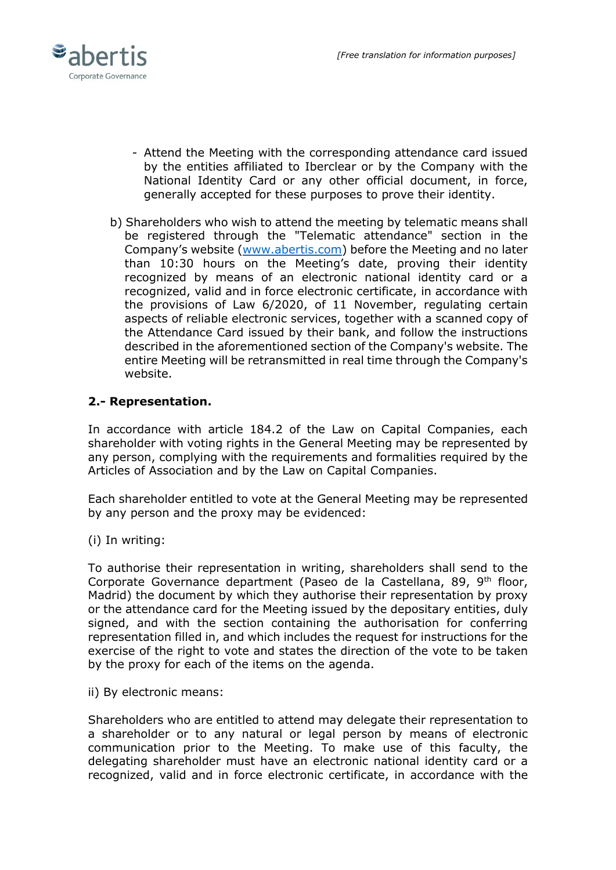

- Attend the Meeting with the corresponding attendance card issued by the entities affiliated to Iberclear or by the Company with the National Identity Card or any other official document, in force, generally accepted for these purposes to prove their identity.
- b) Shareholders who wish to attend the meeting by telematic means shall be registered through the "Telematic attendance" section in the Company's website ([www.abertis.com\)](http://www.abertis.com/) before the Meeting and no later than 10:30 hours on the Meeting's date, proving their identity recognized by means of an electronic national identity card or a recognized, valid and in force electronic certificate, in accordance with the provisions of Law 6/2020, of 11 November, regulating certain aspects of reliable electronic services, together with a scanned copy of the Attendance Card issued by their bank, and follow the instructions described in the aforementioned section of the Company's website. The entire Meeting will be retransmitted in real time through the Company's website.

# **2.- Representation.**

In accordance with article 184.2 of the Law on Capital Companies, each shareholder with voting rights in the General Meeting may be represented by any person, complying with the requirements and formalities required by the Articles of Association and by the Law on Capital Companies.

Each shareholder entitled to vote at the General Meeting may be represented by any person and the proxy may be evidenced:

(i) In writing:

To authorise their representation in writing, shareholders shall send to the Corporate Governance department (Paseo de la Castellana, 89, 9<sup>th</sup> floor, Madrid) the document by which they authorise their representation by proxy or the attendance card for the Meeting issued by the depositary entities, duly signed, and with the section containing the authorisation for conferring representation filled in, and which includes the request for instructions for the exercise of the right to vote and states the direction of the vote to be taken by the proxy for each of the items on the agenda.

ii) By electronic means:

Shareholders who are entitled to attend may delegate their representation to a shareholder or to any natural or legal person by means of electronic communication prior to the Meeting. To make use of this faculty, the delegating shareholder must have an electronic national identity card or a recognized, valid and in force electronic certificate, in accordance with the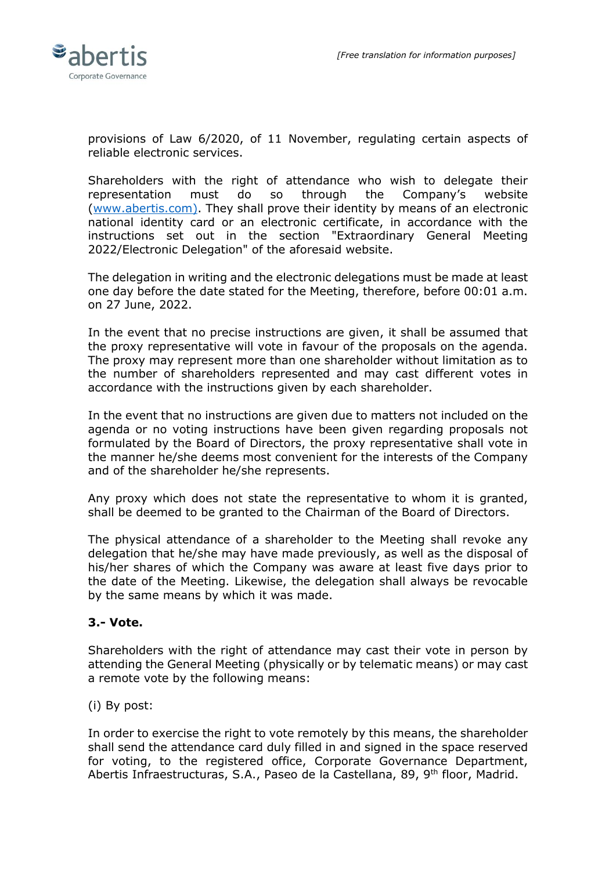

provisions of Law 6/2020, of 11 November, regulating certain aspects of reliable electronic services.

Shareholders with the right of attendance who wish to delegate their representation must do so through the Company's website [\(www.abertis.com\).](http://www.abertis.com)/) They shall prove their identity by means of an electronic national identity card or an electronic certificate, in accordance with the instructions set out in the section "Extraordinary General Meeting 2022/Electronic Delegation" of the aforesaid website.

The delegation in writing and the electronic delegations must be made at least one day before the date stated for the Meeting, therefore, before 00:01 a.m. on 27 June, 2022.

In the event that no precise instructions are given, it shall be assumed that the proxy representative will vote in favour of the proposals on the agenda. The proxy may represent more than one shareholder without limitation as to the number of shareholders represented and may cast different votes in accordance with the instructions given by each shareholder.

In the event that no instructions are given due to matters not included on the agenda or no voting instructions have been given regarding proposals not formulated by the Board of Directors, the proxy representative shall vote in the manner he/she deems most convenient for the interests of the Company and of the shareholder he/she represents.

Any proxy which does not state the representative to whom it is granted, shall be deemed to be granted to the Chairman of the Board of Directors.

The physical attendance of a shareholder to the Meeting shall revoke any delegation that he/she may have made previously, as well as the disposal of his/her shares of which the Company was aware at least five days prior to the date of the Meeting. Likewise, the delegation shall always be revocable by the same means by which it was made.

#### **3.- Vote.**

Shareholders with the right of attendance may cast their vote in person by attending the General Meeting (physically or by telematic means) or may cast a remote vote by the following means:

(i) By post:

In order to exercise the right to vote remotely by this means, the shareholder shall send the attendance card duly filled in and signed in the space reserved for voting, to the registered office, Corporate Governance Department, Abertis Infraestructuras, S.A., Paseo de la Castellana, 89, 9<sup>th</sup> floor, Madrid.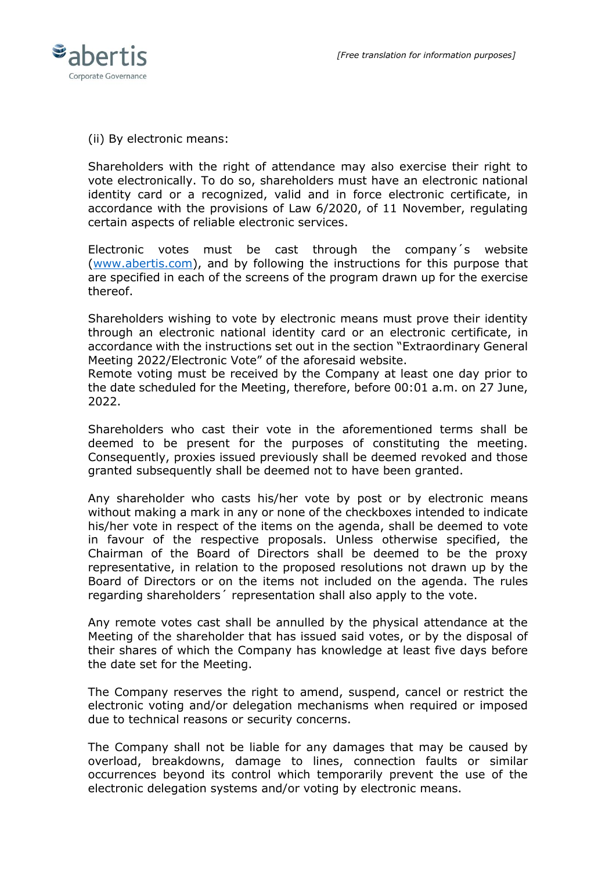

(ii) By electronic means:

Shareholders with the right of attendance may also exercise their right to vote electronically. To do so, shareholders must have an electronic national identity card or a recognized, valid and in force electronic certificate, in accordance with the provisions of Law 6/2020, of 11 November, regulating certain aspects of reliable electronic services.

Electronic votes must be cast through the company´s website [\(www.abertis.com\)](http://www.abertis.com/), and by following the instructions for this purpose that are specified in each of the screens of the program drawn up for the exercise thereof.

Shareholders wishing to vote by electronic means must prove their identity through an electronic national identity card or an electronic certificate, in accordance with the instructions set out in the section "Extraordinary General Meeting 2022/Electronic Vote" of the aforesaid website.

Remote voting must be received by the Company at least one day prior to the date scheduled for the Meeting, therefore, before 00:01 a.m. on 27 June, 2022.

Shareholders who cast their vote in the aforementioned terms shall be deemed to be present for the purposes of constituting the meeting. Consequently, proxies issued previously shall be deemed revoked and those granted subsequently shall be deemed not to have been granted.

Any shareholder who casts his/her vote by post or by electronic means without making a mark in any or none of the checkboxes intended to indicate his/her vote in respect of the items on the agenda, shall be deemed to vote in favour of the respective proposals. Unless otherwise specified, the Chairman of the Board of Directors shall be deemed to be the proxy representative, in relation to the proposed resolutions not drawn up by the Board of Directors or on the items not included on the agenda. The rules regarding shareholders´ representation shall also apply to the vote.

Any remote votes cast shall be annulled by the physical attendance at the Meeting of the shareholder that has issued said votes, or by the disposal of their shares of which the Company has knowledge at least five days before the date set for the Meeting.

The Company reserves the right to amend, suspend, cancel or restrict the electronic voting and/or delegation mechanisms when required or imposed due to technical reasons or security concerns.

The Company shall not be liable for any damages that may be caused by overload, breakdowns, damage to lines, connection faults or similar occurrences beyond its control which temporarily prevent the use of the electronic delegation systems and/or voting by electronic means.